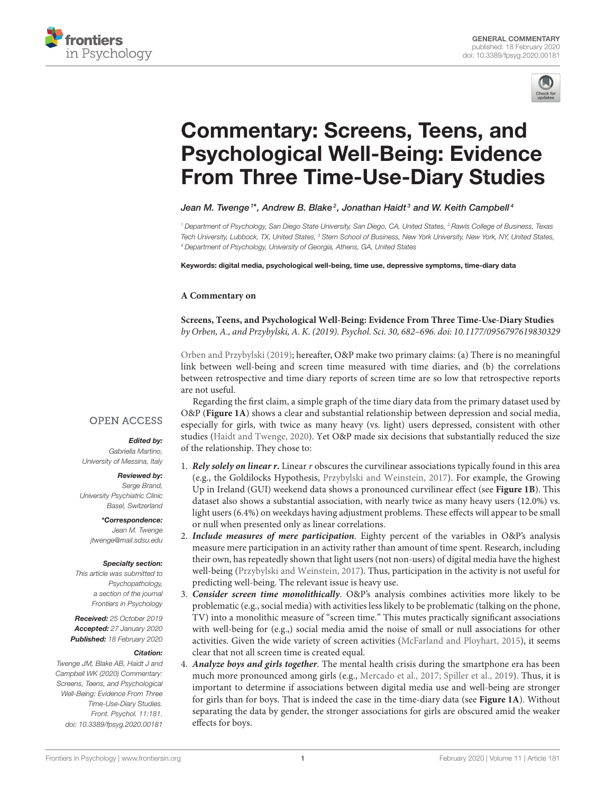



# Commentary: Screens, Teens, and Psychological Well-Being: Evidence [From Three Time-Use-Diary Studies](https://www.frontiersin.org/articles/10.3389/fpsyg.2020.00181/full)

[Jean M. Twenge](http://loop.frontiersin.org/people/255527/overview) <sup>1\*</sup>, [Andrew B. Blake](http://loop.frontiersin.org/people/835932/overview) <sup>2</sup>, [Jonathan Haidt](http://loop.frontiersin.org/people/896216/overview) <sup>3</sup> and [W. Keith Campbell](http://loop.frontiersin.org/people/904776/overview) <sup>4</sup>

*<sup>1</sup> Department of Psychology, San Diego State University, San Diego, CA, United States, <sup>2</sup> Rawls College of Business, Texas Tech University, Lubbock, TX, United States, <sup>3</sup> Stern School of Business, New York University, New York, NY, United States, <sup>4</sup> Department of Psychology, University of Georgia, Athens, GA, United States*

Keywords: digital media, psychological well-being, time use, depressive symptoms, time-diary data

#### **A Commentary on**

**Screens, Teens, and Psychological Well-Being: Evidence From Three Time-Use-Diary Studies** by Orben, A., and Przybylski, A. K. (2019). Psychol. Sci. 30, 682–696. doi: [10.1177/0956797619830329](https://doi.org/10.1177/0956797619830329)

[Orben and Przybylski \(2019\)](#page-2-0); hereafter, O&P make two primary claims: (a) There is no meaningful link between well-being and screen time measured with time diaries, and (b) the correlations between retrospective and time diary reports of screen time are so low that retrospective reports are not useful.

Regarding the first claim, a simple graph of the time diary data from the primary dataset used by O&P (**[Figure 1A](#page-1-0)**) shows a clear and substantial relationship between depression and social media, especially for girls, with twice as many heavy (vs. light) users depressed, consistent with other studies [\(Haidt and Twenge, 2020\)](#page-2-1). Yet O&P made six decisions that substantially reduced the size of the relationship. They chose to:

- 1. **Rely solely on linear r.** Linear r obscures the curvilinear associations typically found in this area (e.g., the Goldilocks Hypothesis, [Przybylski and Weinstein, 2017\)](#page-2-2). For example, the Growing Up in Ireland (GUI) weekend data shows a pronounced curvilinear effect (see **[Figure 1B](#page-1-0)**). This dataset also shows a substantial association, with nearly twice as many heavy users (12.0%) vs. light users (6.4%) on weekdays having adjustment problems. These effects will appear to be small or null when presented only as linear correlations.
- 2. **Include measures of mere participation**. Eighty percent of the variables in O&P's analysis measure mere participation in an activity rather than amount of time spent. Research, including their own, has repeatedly shown that light users (not non-users) of digital media have the highest well-being [\(Przybylski and Weinstein, 2017\)](#page-2-2). Thus, participation in the activity is not useful for predicting well-being. The relevant issue is heavy use.
- 3. **Consider screen time monolithically**. O&P's analysis combines activities more likely to be problematic (e.g., social media) with activities less likely to be problematic (talking on the phone, TV) into a monolithic measure of "screen time." This mutes practically significant associations with well-being for (e.g.,) social media amid the noise of small or null associations for other activities. Given the wide variety of screen activities [\(McFarland and Ployhart, 2015\)](#page-2-3), it seems clear that not all screen time is created equal.
- 4. **Analyze boys and girls together**. The mental health crisis during the smartphone era has been much more pronounced among girls (e.g., [Mercado et al., 2017;](#page-2-4) [Spiller et al., 2019\)](#page-2-5). Thus, it is important to determine if associations between digital media use and well-being are stronger for girls than for boys. That is indeed the case in the time-diary data (see **[Figure 1A](#page-1-0)**). Without separating the data by gender, the stronger associations for girls are obscured amid the weaker effects for boys.

### **OPEN ACCESS**

#### Edited by:

*Gabriella Martino, University of Messina, Italy*

#### Reviewed by:

*Serge Brand, University Psychiatric Clinic Basel, Switzerland*

> \*Correspondence: *Jean M. Twenge [jtwenge@mail.sdsu.edu](mailto:jtwenge@mail.sdsu.edu)*

#### Specialty section:

*This article was submitted to Psychopathology, a section of the journal Frontiers in Psychology*

Received: *25 October 2019* Accepted: *27 January 2020* Published: *18 February 2020*

#### Citation:

*Twenge JM, Blake AB, Haidt J and Campbell WK (2020) Commentary: Screens, Teens, and Psychological Well-Being: Evidence From Three Time-Use-Diary Studies. Front. Psychol. 11:181. doi: [10.3389/fpsyg.2020.00181](https://doi.org/10.3389/fpsyg.2020.00181)*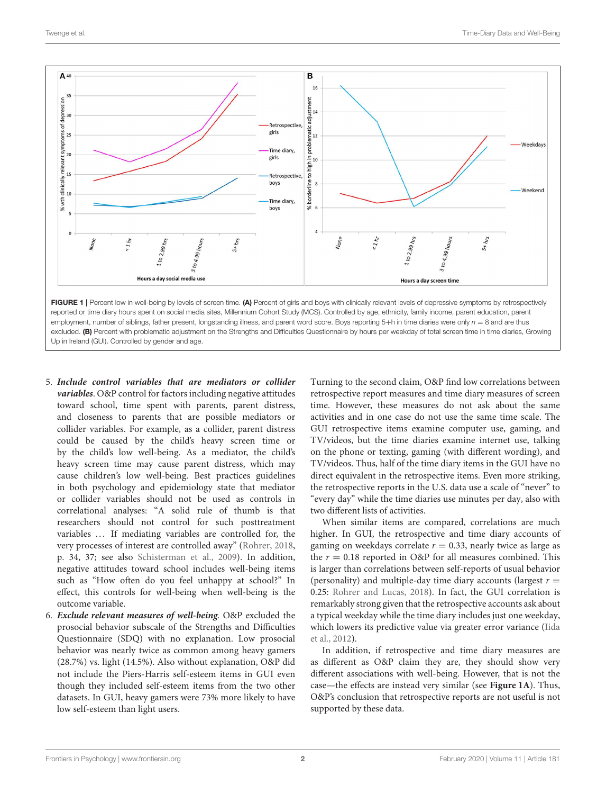

<span id="page-1-0"></span>reported or time diary hours spent on social media sites, Millennium Cohort Study (MCS). Controlled by age, ethnicity, family income, parent education, parent employment, number of siblings, father present, longstanding illness, and parent word score. Boys reporting 5+h in time diaries were only *n* = 8 and are thus excluded. (B) Percent with problematic adjustment on the Strengths and Difficulties Questionnaire by hours per weekday of total screen time in time diaries, Growing Up in Ireland (GUI). Controlled by gender and age.

- 5. **Include control variables that are mediators or collider variables**. O&P control for factors including negative attitudes toward school, time spent with parents, parent distress, and closeness to parents that are possible mediators or collider variables. For example, as a collider, parent distress could be caused by the child's heavy screen time or by the child's low well-being. As a mediator, the child's heavy screen time may cause parent distress, which may cause children's low well-being. Best practices guidelines in both psychology and epidemiology state that mediator or collider variables should not be used as controls in correlational analyses: "A solid rule of thumb is that researchers should not control for such posttreatment variables ... If mediating variables are controlled for, the very processes of interest are controlled away" [\(Rohrer, 2018,](#page-2-6) p. 34, 37; see also [Schisterman et al., 2009\)](#page-2-7). In addition, negative attitudes toward school includes well-being items such as "How often do you feel unhappy at school?" In effect, this controls for well-being when well-being is the outcome variable.
- 6. **Exclude relevant measures of well-being**. O&P excluded the prosocial behavior subscale of the Strengths and Difficulties Questionnaire (SDQ) with no explanation. Low prosocial behavior was nearly twice as common among heavy gamers (28.7%) vs. light (14.5%). Also without explanation, O&P did not include the Piers-Harris self-esteem items in GUI even though they included self-esteem items from the two other datasets. In GUI, heavy gamers were 73% more likely to have low self-esteem than light users.

Turning to the second claim, O&P find low correlations between retrospective report measures and time diary measures of screen time. However, these measures do not ask about the same activities and in one case do not use the same time scale. The GUI retrospective items examine computer use, gaming, and TV/videos, but the time diaries examine internet use, talking on the phone or texting, gaming (with different wording), and TV/videos. Thus, half of the time diary items in the GUI have no direct equivalent in the retrospective items. Even more striking, the retrospective reports in the U.S. data use a scale of "never" to "every day" while the time diaries use minutes per day, also with two different lists of activities.

When similar items are compared, correlations are much higher. In GUI, the retrospective and time diary accounts of gaming on weekdays correlate  $r = 0.33$ , nearly twice as large as the  $r = 0.18$  reported in O&P for all measures combined. This is larger than correlations between self-reports of usual behavior (personality) and multiple-day time diary accounts (largest  $r =$ 0.25: [Rohrer and Lucas, 2018\)](#page-2-8). In fact, the GUI correlation is remarkably strong given that the retrospective accounts ask about a typical weekday while the time diary includes just one weekday, which lowers its predictive value via greater error variance (Iida et al., [2012\)](#page-2-9).

In addition, if retrospective and time diary measures are as different as O&P claim they are, they should show very different associations with well-being. However, that is not the case—the effects are instead very similar (see **[Figure 1A](#page-1-0)**). Thus, O&P's conclusion that retrospective reports are not useful is not supported by these data.